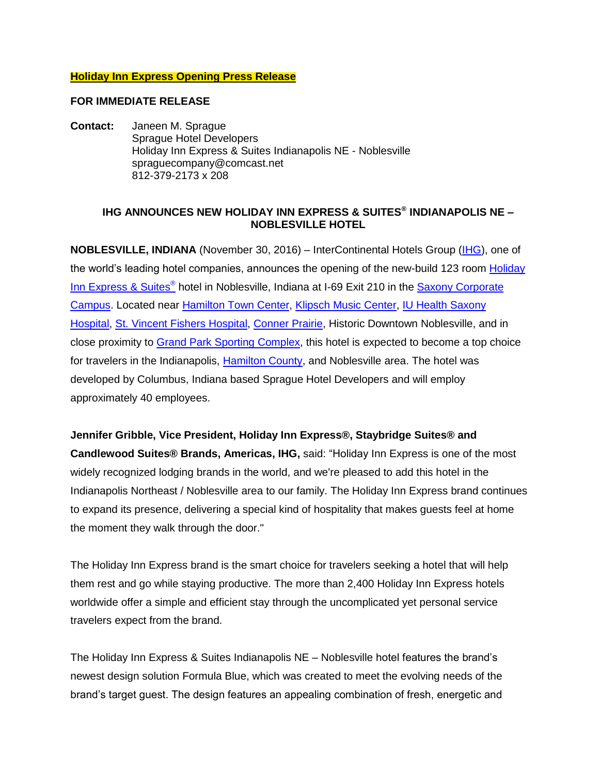### **Holiday Inn Express Opening Press Release**

#### **FOR IMMEDIATE RELEASE**

**Contact:** Janeen M. Sprague Sprague Hotel Developers Holiday Inn Express & Suites Indianapolis NE - Noblesville spraguecompany@comcast.net 812-379-2173 x 208

## **IHG ANNOUNCES NEW HOLIDAY INN EXPRESS & SUITES® INDIANAPOLIS NE – NOBLESVILLE HOTEL**

**NOBLESVILLE, INDIANA** (November 30, 2016) – InterContinental Hotels Group [\(IHG\)](http://www.ihgplc.com/), one of the world's leading hotel companies, announces the opening of the new-build 123 room Holiday [Inn Express](https://www.ihg.com/holidayinnexpress/hotels/us/en/noblesville/indes/hoteldetail) & Suites<sup>®</sup> hotel in Noblesville, Indiana at I-69 Exit 210 in the **Saxony Corporate** [Campus.](http://www.saxony-indiana.com/work/corporate.html) Located near [Hamilton Town Center,](http://www.simon.com/mall/hamilton-town-center) [Klipsch Music](http://www.noblesvilleamphitheater.com/) Center, [IU Health Saxony](http://iuhealth.org/saxony/)  [Hospital,](http://iuhealth.org/saxony/) [St. Vincent Fishers Hospital,](http://stvincent.org/St-Vincent-Fishers/) [Conner Prairie,](http://www.connerprairie.org/) Historic Downtown Noblesville, and in close proximity to [Grand Park Sporting Complex,](http://grandpark.org/) this hotel is expected to become a top choice for travelers in the Indianapolis, [Hamilton County,](http://www.visithamiltoncounty.com/) and Noblesville area. The hotel was developed by Columbus, Indiana based Sprague Hotel Developers and will employ approximately 40 employees.

**Jennifer Gribble, Vice President, Holiday Inn Express®, Staybridge Suites® and Candlewood Suites® Brands, Americas, IHG,** said: "Holiday Inn Express is one of the most widely recognized lodging brands in the world, and we're pleased to add this hotel in the Indianapolis Northeast / Noblesville area to our family. The Holiday Inn Express brand continues to expand its presence, delivering a special kind of hospitality that makes guests feel at home the moment they walk through the door."

The Holiday Inn Express brand is the smart choice for travelers seeking a hotel that will help them rest and go while staying productive. The more than 2,400 Holiday Inn Express hotels worldwide offer a simple and efficient stay through the uncomplicated yet personal service travelers expect from the brand.

The Holiday Inn Express & Suites Indianapolis NE – Noblesville hotel features the brand's newest design solution Formula Blue, which was created to meet the evolving needs of the brand's target guest. The design features an appealing combination of fresh, energetic and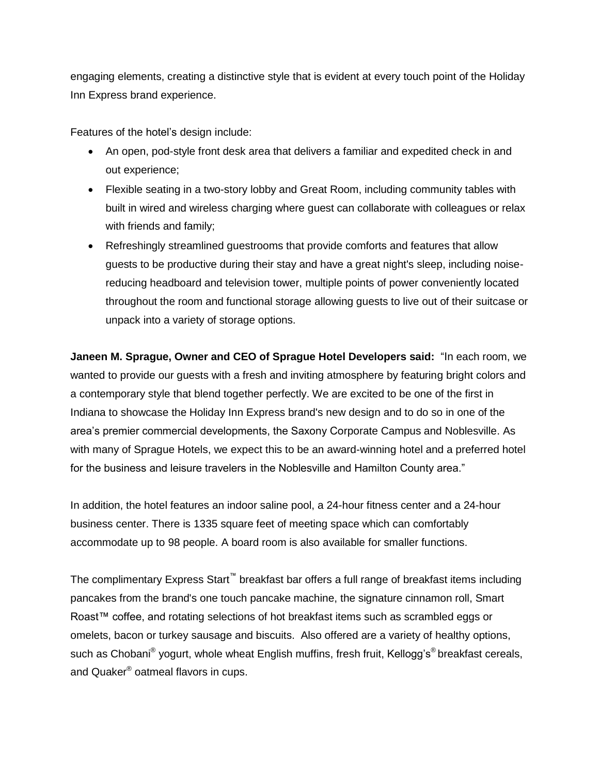engaging elements, creating a distinctive style that is evident at every touch point of the Holiday Inn Express brand experience.

Features of the hotel's design include:

- An open, pod-style front desk area that delivers a familiar and expedited check in and out experience;
- Flexible seating in a two-story lobby and Great Room, including community tables with built in wired and wireless charging where guest can collaborate with colleagues or relax with friends and family;
- Refreshingly streamlined guestrooms that provide comforts and features that allow guests to be productive during their stay and have a great night's sleep, including noisereducing headboard and television tower, multiple points of power conveniently located throughout the room and functional storage allowing guests to live out of their suitcase or unpack into a variety of storage options.

**Janeen M. Sprague, Owner and CEO of Sprague Hotel Developers said:** "In each room, we wanted to provide our guests with a fresh and inviting atmosphere by featuring bright colors and a contemporary style that blend together perfectly. We are excited to be one of the first in Indiana to showcase the Holiday Inn Express brand's new design and to do so in one of the area's premier commercial developments, the Saxony Corporate Campus and Noblesville. As with many of Sprague Hotels, we expect this to be an award-winning hotel and a preferred hotel for the business and leisure travelers in the Noblesville and Hamilton County area."

In addition, the hotel features an indoor saline pool, a 24-hour fitness center and a 24-hour business center. There is 1335 square feet of meeting space which can comfortably accommodate up to 98 people. A board room is also available for smaller functions.

The complimentary Express Start™ breakfast bar offers a full range of breakfast items including pancakes from the brand's one touch pancake machine, the signature cinnamon roll, Smart Roast™ coffee, and rotating selections of hot breakfast items such as scrambled eggs or omelets, bacon or turkey sausage and biscuits. Also offered are a variety of healthy options, such as Chobani® yogurt, whole wheat English muffins, fresh fruit, Kellogg's®breakfast cereals, and Quaker® oatmeal flavors in cups.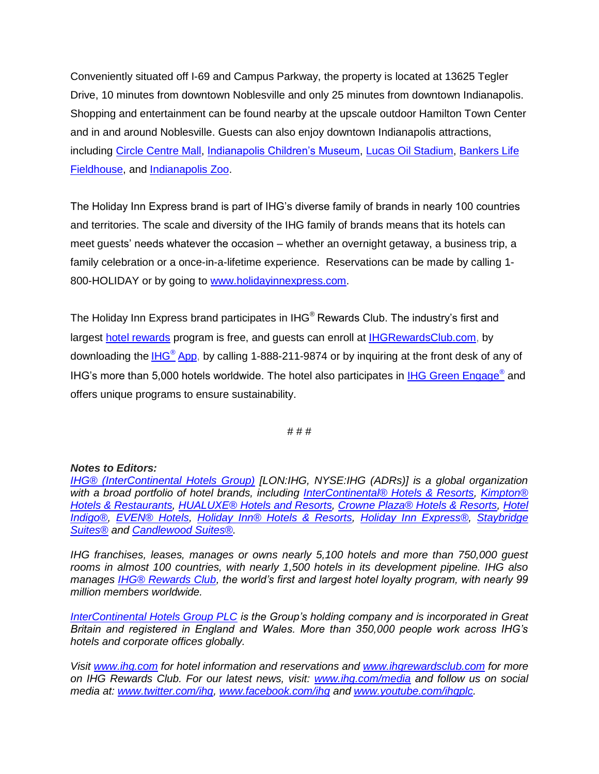Conveniently situated off I-69 and Campus Parkway, the property is located at 13625 Tegler Drive, 10 minutes from downtown Noblesville and only 25 minutes from downtown Indianapolis. Shopping and entertainment can be found nearby at the upscale outdoor Hamilton Town Center and in and around Noblesville. Guests can also enjoy downtown Indianapolis attractions, including [Circle Centre Mall,](http://www.simon.com/mall/circle-centre-mall) [Indianapolis Children's Museum,](https://www.childrensmuseum.org/) [Lucas Oil Stadium,](http://www.lucasoilstadium.com/) [Bankers Life](http://www.bankerslifefieldhouse.com/)  [Fieldhouse,](http://www.bankerslifefieldhouse.com/) and [Indianapolis Zoo.](http://indianapoliszoo.com/SitePages/Home.aspx)

The Holiday Inn Express brand is part of IHG's diverse family of brands in nearly 100 countries and territories. The scale and diversity of the IHG family of brands means that its hotels can meet guests' needs whatever the occasion – whether an overnight getaway, a business trip, a family celebration or a once-in-a-lifetime experience. Reservations can be made by calling 1- 800-HOLIDAY or by going to [www.holidayinnexpress.com.](file:///C:/Users/WorralJ/Documents/HIPOB%20Dual/New%20PR%20Toolkits%20-%20Q3%202016/HIEX/www.holidayinnexpress.com)

The Holiday Inn Express brand participates in IHG<sup>®</sup> Rewards Club. The industry's first and largest [hotel rewards](http://www.ihgrewardsclub.com/) program is free, and guests can enroll at [IHGRewardsClub.com,](http://www.ihg.com/rewardsclub/us/en/home) by downloading the IHG® [App,](http://www.ihg.com/hotels/us/en/global/offers/mobile?cm_mmc=OSMAM-6C-AMER-EN-MOBILE_VANITY_PR) by calling 1-888-211-9874 or by inquiring at the front desk of any of IHG's more than 5,000 hotels worldwide. The hotel also participates in [IHG Green Engage](http://www.ihgplc.com/index.asp?pageid=742)<sup>®</sup> and offers unique programs to ensure sustainability.

# # #

#### *Notes to Editors:*

*[IHG® \(InterContinental Hotels Group\)](http://www.ihgplc.com/index.asp) [LON:IHG, NYSE:IHG (ADRs)] is a global organization with a broad portfolio of hotel brands, including [InterContinental® Hotels & Resorts,](http://www.intercontinental.com/hotels/gb/en/reservation) [Kimpton®](https://www.kimptonhotels.com/)  [Hotels & Restaurants,](https://www.kimptonhotels.com/) [HUALUXE® Hotels and Resorts,](http://cn.ihg.com/hualuxe?scmisc=header_vn) [Crowne Plaza® Hotels & Resorts,](http://www.ihg.com/crowneplaza/hotels/gb/en/reservation) [Hotel](http://www.ihg.com/hotelindigo/hotels/us/en/reservation)  [Indigo®,](http://www.ihg.com/hotelindigo/hotels/us/en/reservation) [EVEN® Hotels,](http://www.ihg.com/evenhotels/hotels/us/en/reservation) [Holiday Inn® Hotels & Resorts,](http://www.ihg.com/holidayinn/hotels/gb/en/reservation) [Holiday Inn Express®,](http://www.ihg.com/holidayinnexpress/hotels/gb/en/reservation) [Staybridge](http://www.ihg.com/staybridge/hotels/gb/en/reservation)  [Suites®](http://www.ihg.com/staybridge/hotels/gb/en/reservation) and [Candlewood Suites®.](http://www.ihg.com/candlewood/hotels/us/en/reservation)* 

*IHG franchises, leases, manages or owns nearly 5,100 hotels and more than 750,000 guest rooms in almost 100 countries, with nearly 1,500 hotels in its development pipeline. IHG also manages [IHG® Rewards Club,](http://www.ihg.com/rewardsclub/gb/en/home) the world's first and largest hotel loyalty program, with nearly 99 million members worldwide.* 

*[InterContinental Hotels Group PLC](http://www.ihgplc.com/index.asp) is the Group's holding company and is incorporated in Great Britain and registered in England and Wales. More than 350,000 people work across IHG's hotels and corporate offices globally.*

*Visit [www.ihg.com](http://www.ihg.com/hotels/gb/en/reservation) for hotel information and reservations and [www.ihgrewardsclub.com](http://www.ihg.com/rewardsclub/gb/en/home) for more on IHG Rewards Club. For our latest news, visit: [www.ihg.com/media](http://www.ihgplc.com/index.asp?pageid=5#ref_media) and follow us on social media at: [www.twitter.com/ihg,](http://www.twitter.com/ihg) [www.facebook.com/ihg](http://www.facebook.com/ihg) and [www.youtube.com/ihgplc.](http://www.youtube.com/ihgplc)*